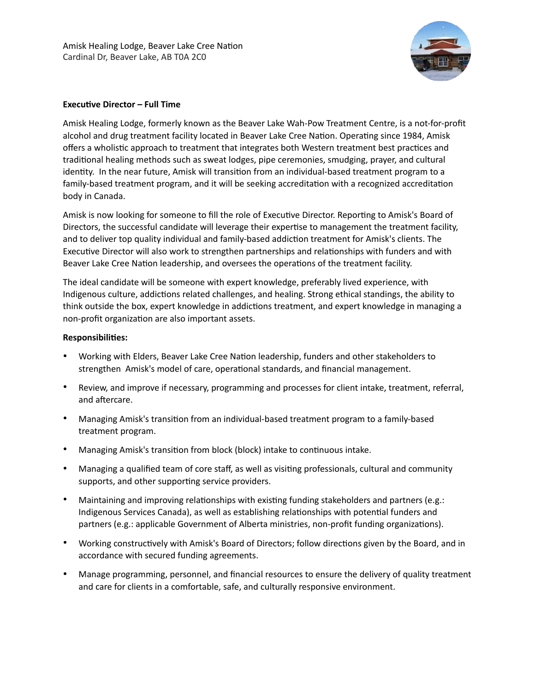

## **Executive Director – Full Time**

Amisk Healing Lodge, formerly known as the Beaver Lake Wah-Pow Treatment Centre, is a not-for-profit alcohol and drug treatment facility located in Beaver Lake Cree Nation. Operating since 1984, Amisk offers a wholistic approach to treatment that integrates both Western treatment best practices and traditional healing methods such as sweat lodges, pipe ceremonies, smudging, prayer, and cultural identity. In the near future, Amisk will transition from an individual-based treatment program to a family-based treatment program, and it will be seeking accreditation with a recognized accreditation body in Canada.

Amisk is now looking for someone to fill the role of Executive Director. Reporting to Amisk's Board of Directors, the successful candidate will leverage their expertise to management the treatment facility, and to deliver top quality individual and family-based addiction treatment for Amisk's clients. The Executive Director will also work to strengthen partnerships and relationships with funders and with Beaver Lake Cree Nation leadership, and oversees the operations of the treatment facility.

The ideal candidate will be someone with expert knowledge, preferably lived experience, with Indigenous culture, addictions related challenges, and healing. Strong ethical standings, the ability to think outside the box, expert knowledge in addictions treatment, and expert knowledge in managing a non-profit organization are also important assets.

## **Responsibilities:**

- Working with Elders, Beaver Lake Cree Nation leadership, funders and other stakeholders to strengthen Amisk's model of care, operational standards, and financial management.
- Review, and improve if necessary, programming and processes for client intake, treatment, referral, and aftercare.
- Managing Amisk's transition from an individual-based treatment program to a family-based treatment program.
- Managing Amisk's transition from block (block) intake to continuous intake.
- Managing a qualified team of core staff, as well as visiting professionals, cultural and community supports, and other supporting service providers.
- Maintaining and improving relationships with existing funding stakeholders and partners (e.g.: Indigenous Services Canada), as well as establishing relationships with potential funders and partners (e.g.: applicable Government of Alberta ministries, non-profit funding organizations).
- Working constructively with Amisk's Board of Directors; follow directions given by the Board, and in accordance with secured funding agreements.
- Manage programming, personnel, and financial resources to ensure the delivery of quality treatment and care for clients in a comfortable, safe, and culturally responsive environment.